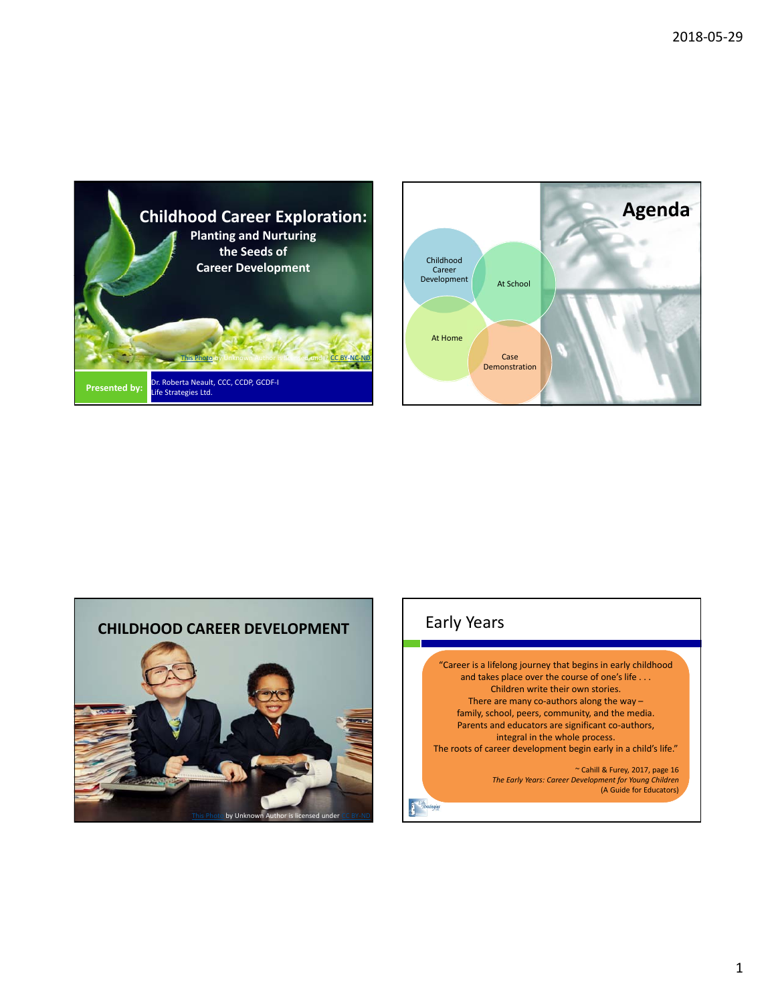





# Early Years

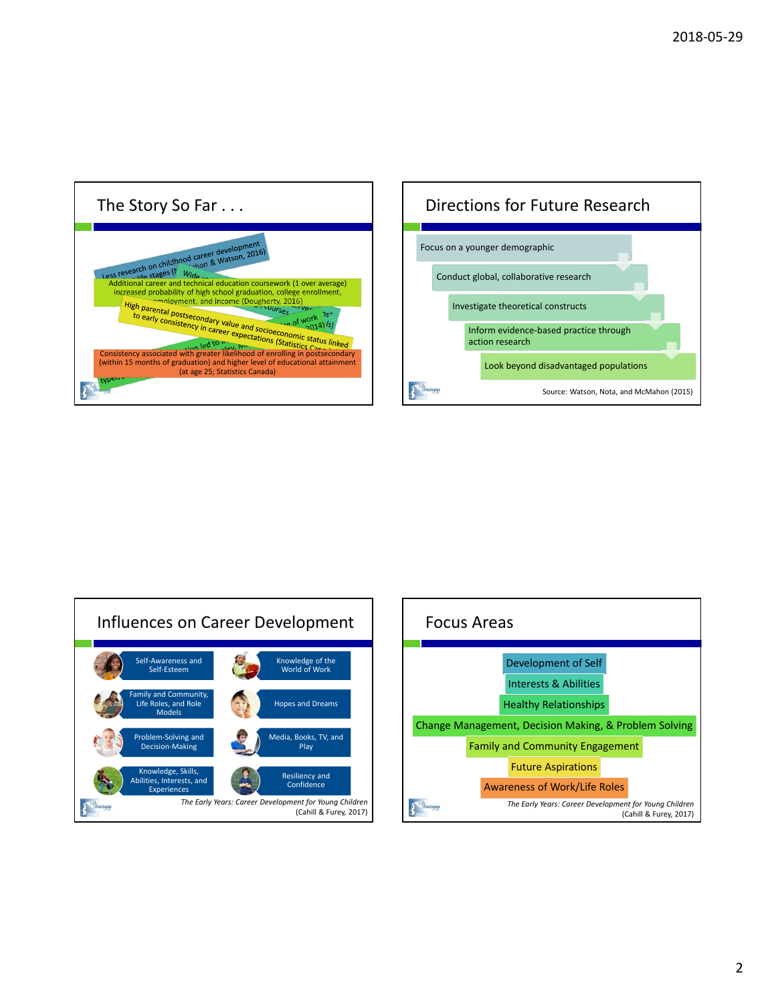





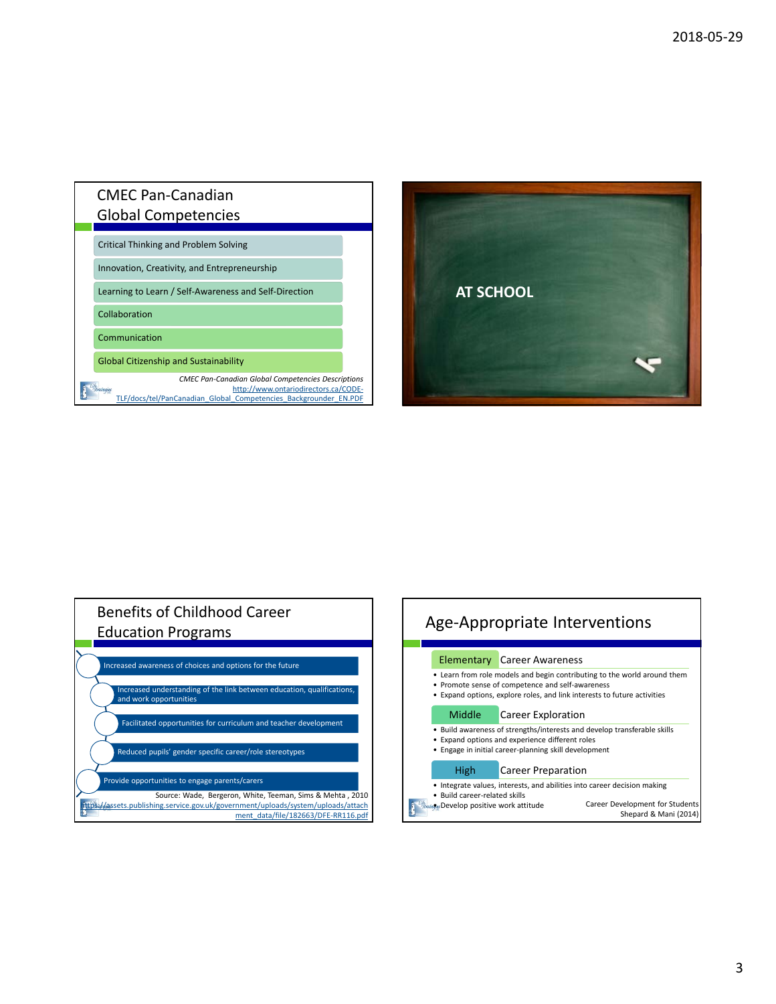## CMEC Pan‐Canadian Global Competencies

Critical Thinking and Problem Solving

Innovation, Creativity, and Entrepreneurship

Learning to Learn / Self‐Awareness and Self‐Direction

Collaboration

Communication

 $\mathbf{A}^*$ 

Global Citizenship and Sustainability

*CMEC Pan‐Canadian Global Competencies Descriptions* tegies http://www.ontariodirectors.ca/CODE‐ TLF/docs/tel/PanCanadian\_Global\_Competencies\_Backgrounder\_EN.PDF



# Benefits of Childhood Career Education Programs Increased awareness of choices and options for the future Increased understanding of the link between education, qualifications, and work opportunities Facilitated opportunities for curriculum and teacher development Reduced pupils' gender specific career/role stereotypes Provide opportunities to engage parents/carers Source: Wade, Bergeron, White, Teeman, Sims & Mehta , 2010 https://assets.publishing.service.gov.uk/government/uploads/system/uploads/attach ment\_data/file/182663/DFE-RR116.pdf

| Age-Appropriate Interventions                                                                                                                                                                                                  |                                                                                                                                                                                                        |                                                                                                                                                                                  |  |
|--------------------------------------------------------------------------------------------------------------------------------------------------------------------------------------------------------------------------------|--------------------------------------------------------------------------------------------------------------------------------------------------------------------------------------------------------|----------------------------------------------------------------------------------------------------------------------------------------------------------------------------------|--|
|                                                                                                                                                                                                                                |                                                                                                                                                                                                        | <b>Elementary Career Awareness</b>                                                                                                                                               |  |
|                                                                                                                                                                                                                                | • Learn from role models and begin contributing to the world around them<br>• Promote sense of competence and self-awareness<br>Expand options, explore roles, and link interests to future activities |                                                                                                                                                                                  |  |
|                                                                                                                                                                                                                                | Middle                                                                                                                                                                                                 | Career Exploration                                                                                                                                                               |  |
|                                                                                                                                                                                                                                |                                                                                                                                                                                                        | • Build awareness of strengths/interests and develop transferable skills<br>Expand options and experience different roles<br>Engage in initial career-planning skill development |  |
|                                                                                                                                                                                                                                | High                                                                                                                                                                                                   | <b>Career Preparation</b>                                                                                                                                                        |  |
| Integrate values, interests, and abilities into career decision making<br>• Build career-related skills<br>Career Development for Students<br><i><b>Strutagles Develop positive work attitude</b></i><br>Shepard & Mani (2014) |                                                                                                                                                                                                        |                                                                                                                                                                                  |  |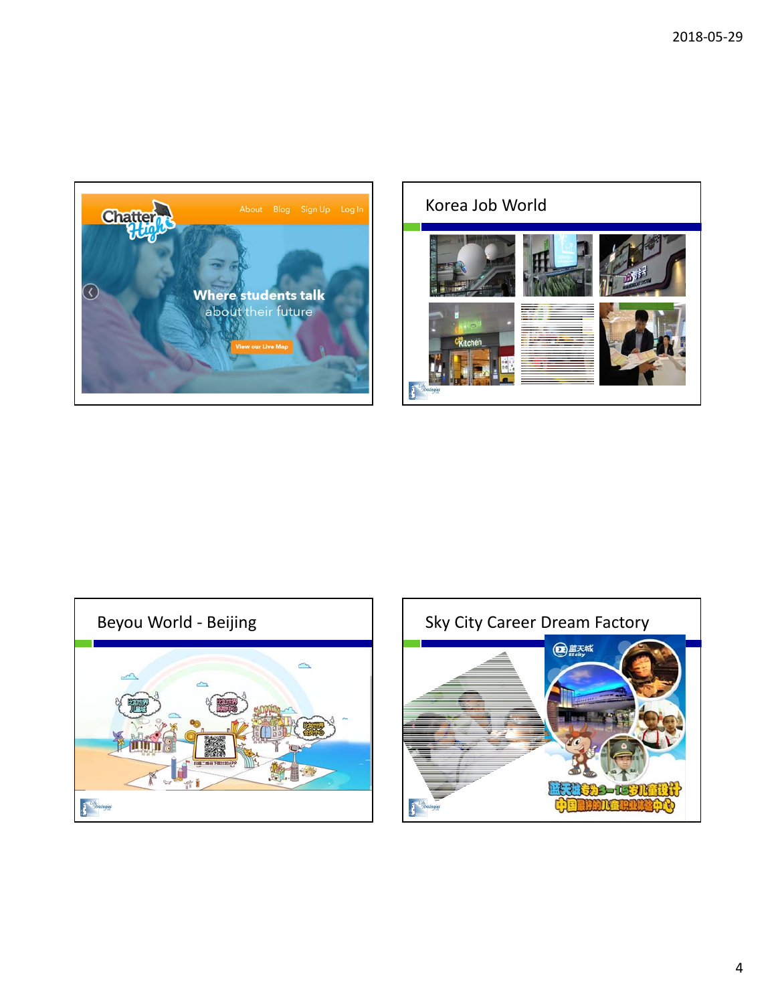





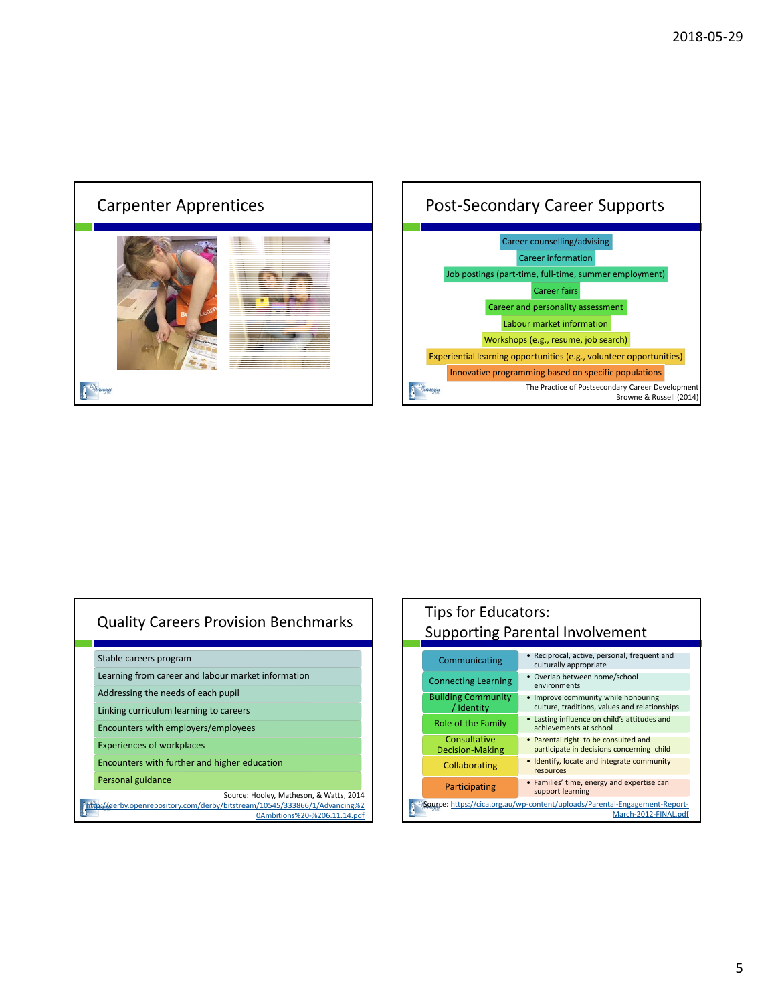

#### Career counselling/advising Career information Job postings (part-time, full-time, summer employment) Career fairs Career and personality assessment Labour market information Workshops (e.g., resume, job search) Experiential learning opportunities (e.g., volunteer opportunities) Innovative programming based on specific populations The Practice of Postsecondary Career Development r Browne & Russell (2014)

## Quality Careers Provision Benchmarks

Stable careers program

Learning from career and labour market information

Addressing the needs of each pupil

Linking curriculum learning to careers

Encounters with employers/employees

Experiences of workplaces

Encounters with further and higher education

Personal guidance

Source: Hooley, Matheson, & Watts, 2014 http://derby.openrepository.com/derby/bitstream/10545/333866/1/Advancing%2

0Ambitions%20-%206.11.14.pdf